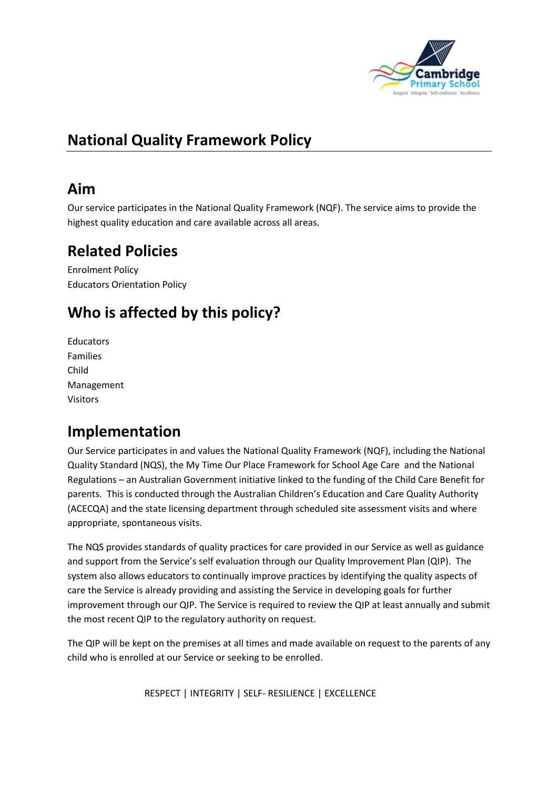

# **National Quality Framework Policy**

### **Aim**

Our service participates in the National Quality Framework (NQF). The service aims to provide the highest quality education and care available across all areas.

### **Related Policies**

Enrolment Policy Educators Orientation Policy

# **Who is affected by this policy?**

**Educators** Families Child Management Visitors

# **Implementation**

Our Service participates in and values the National Quality Framework (NQF), including the National Quality Standard (NQS), the My Time Our Place Framework for School Age Care and the National Regulations – an Australian Government initiative linked to the funding of the Child Care Benefit for parents. This is conducted through the Australian Children's Education and Care Quality Authority (ACECQA) and the state licensing department through scheduled site assessment visits and where appropriate, spontaneous visits.

The NQS provides standards of quality practices for care provided in our Service as well as guidance and support from the Service's self evaluation through our Quality Improvement Plan (QIP). The system also allows educators to continually improve practices by identifying the quality aspects of care the Service is already providing and assisting the Service in developing goals for further improvement through our QIP. The Service is required to review the QIP at least annually and submit the most recent QIP to the regulatory authority on request.

The QIP will be kept on the premises at all times and made available on request to the parents of any child who is enrolled at our Service or seeking to be enrolled.

RESPECT | INTEGRITY | SELF- RESILIENCE | EXCELLENCE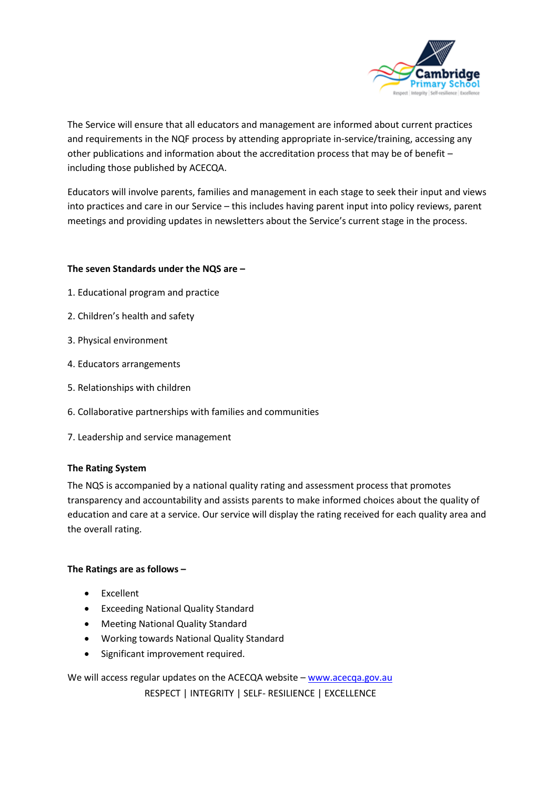

The Service will ensure that all educators and management are informed about current practices and requirements in the NQF process by attending appropriate in-service/training, accessing any other publications and information about the accreditation process that may be of benefit – including those published by ACECQA.

Educators will involve parents, families and management in each stage to seek their input and views into practices and care in our Service – this includes having parent input into policy reviews, parent meetings and providing updates in newsletters about the Service's current stage in the process.

#### **The seven Standards under the NQS are –**

- 1. Educational program and practice
- 2. Children's health and safety
- 3. Physical environment
- 4. Educators arrangements
- 5. Relationships with children
- 6. Collaborative partnerships with families and communities
- 7. Leadership and service management

#### **The Rating System**

The NQS is accompanied by a national quality rating and assessment process that promotes transparency and accountability and assists parents to make informed choices about the quality of education and care at a service. Our service will display the rating received for each quality area and the overall rating.

#### **The Ratings are as follows –**

- Excellent
- Exceeding National Quality Standard
- Meeting National Quality Standard
- Working towards National Quality Standard
- Significant improvement required.

 RESPECT | INTEGRITY | SELF- RESILIENCE | EXCELLENCE We will access regular updates on the ACECQA website – [www.acecqa.gov.au](http://www.acecqa.gov.au/)